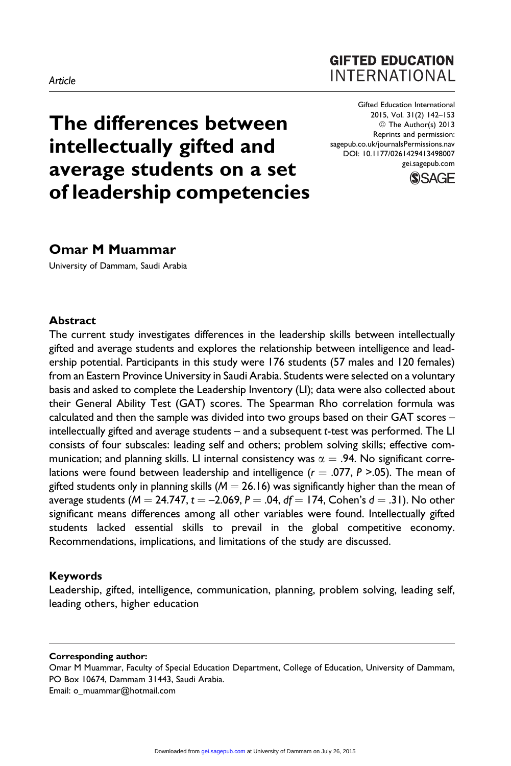# **GIFTED EDUCATION INTERNATIONAL**

The differences between intellectually gifted and average students on a set of leadership competencies

Gifted Education International 2015, Vol. 31(2) 142–153 © The Author(s) 2013 Reprints and permission: [sagepub.co.uk/journalsPermissions.nav](http://www.sagepub.co.uk/journalsPermissions.nav) DOI: 10.1177/0261429413498007 [gei.sagepub.com](http://gei.sagepub.com)



# Omar M Muammar

University of Dammam, Saudi Arabia

#### Abstract

The current study investigates differences in the leadership skills between intellectually gifted and average students and explores the relationship between intelligence and leadership potential. Participants in this study were 176 students (57 males and 120 females) from an Eastern Province University in Saudi Arabia. Students were selected on a voluntary basis and asked to complete the Leadership Inventory (LI); data were also collected about their General Ability Test (GAT) scores. The Spearman Rho correlation formula was calculated and then the sample was divided into two groups based on their GAT scores – intellectually gifted and average students – and a subsequent t-test was performed. The LI consists of four subscales: leading self and others; problem solving skills; effective communication; and planning skills. LI internal consistency was  $\alpha = .94$ . No significant correlations were found between leadership and intelligence ( $r = .077$ , P >.05). The mean of gifted students only in planning skills ( $M = 26.16$ ) was significantly higher than the mean of average students ( $M = 24.747$ ,  $t = -2.069$ ,  $P = .04$ ,  $df = 174$ , Cohen's  $d = .31$ ). No other significant means differences among all other variables were found. Intellectually gifted students lacked essential skills to prevail in the global competitive economy. Recommendations, implications, and limitations of the study are discussed.

#### Keywords

Leadership, gifted, intelligence, communication, planning, problem solving, leading self, leading others, higher education

#### Corresponding author:

Omar M Muammar, Faculty of Special Education Department, College of Education, University of Dammam, PO Box 10674, Dammam 31443, Saudi Arabia.

Email: o\_muammar@hotmail.com

#### Article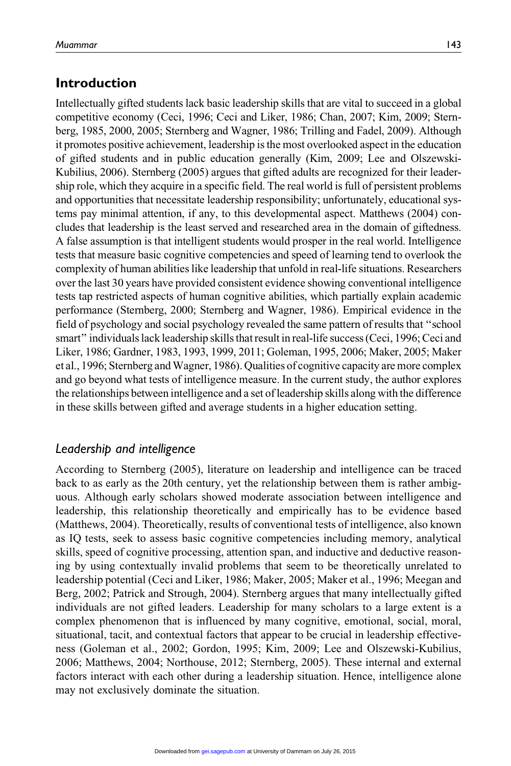# Introduction

Intellectually gifted students lack basic leadership skills that are vital to succeed in a global competitive economy (Ceci, 1996; Ceci and Liker, 1986; Chan, 2007; Kim, 2009; Sternberg, 1985, 2000, 2005; Sternberg and Wagner, 1986; Trilling and Fadel, 2009). Although it promotes positive achievement, leadership is the most overlooked aspect in the education of gifted students and in public education generally (Kim, 2009; Lee and Olszewski-Kubilius, 2006). Sternberg (2005) argues that gifted adults are recognized for their leadership role, which they acquire in a specific field. The real world is full of persistent problems and opportunities that necessitate leadership responsibility; unfortunately, educational systems pay minimal attention, if any, to this developmental aspect. Matthews (2004) concludes that leadership is the least served and researched area in the domain of giftedness. A false assumption is that intelligent students would prosper in the real world. Intelligence tests that measure basic cognitive competencies and speed of learning tend to overlook the complexity of human abilities like leadership that unfold in real-life situations. Researchers over the last 30 years have provided consistent evidence showing conventional intelligence tests tap restricted aspects of human cognitive abilities, which partially explain academic performance (Sternberg, 2000; Sternberg and Wagner, 1986). Empirical evidence in the field of psychology and social psychology revealed the same pattern of results that ''school smart'' individuals lack leadership skills that result in real-life success (Ceci, 1996; Ceci and Liker, 1986; Gardner, 1983, 1993, 1999, 2011; Goleman, 1995, 2006; Maker, 2005; Maker et al., 1996; Sternberg andWagner, 1986). Qualities of cognitive capacity are more complex and go beyond what tests of intelligence measure. In the current study, the author explores the relationships between intelligence and a set of leadership skills along with the difference in these skills between gifted and average students in a higher education setting.

# Leadership and intelligence

According to Sternberg (2005), literature on leadership and intelligence can be traced back to as early as the 20th century, yet the relationship between them is rather ambiguous. Although early scholars showed moderate association between intelligence and leadership, this relationship theoretically and empirically has to be evidence based (Matthews, 2004). Theoretically, results of conventional tests of intelligence, also known as IQ tests, seek to assess basic cognitive competencies including memory, analytical skills, speed of cognitive processing, attention span, and inductive and deductive reasoning by using contextually invalid problems that seem to be theoretically unrelated to leadership potential (Ceci and Liker, 1986; Maker, 2005; Maker et al., 1996; Meegan and Berg, 2002; Patrick and Strough, 2004). Sternberg argues that many intellectually gifted individuals are not gifted leaders. Leadership for many scholars to a large extent is a complex phenomenon that is influenced by many cognitive, emotional, social, moral, situational, tacit, and contextual factors that appear to be crucial in leadership effectiveness (Goleman et al., 2002; Gordon, 1995; Kim, 2009; Lee and Olszewski-Kubilius, 2006; Matthews, 2004; Northouse, 2012; Sternberg, 2005). These internal and external factors interact with each other during a leadership situation. Hence, intelligence alone may not exclusively dominate the situation.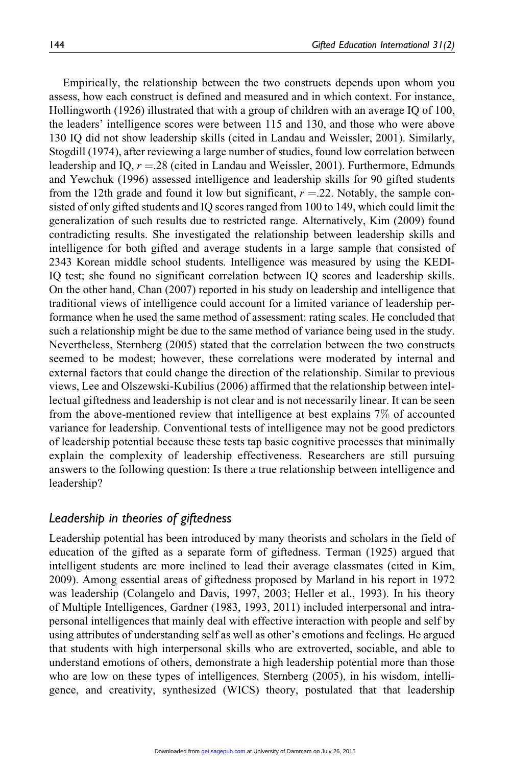Empirically, the relationship between the two constructs depends upon whom you assess, how each construct is defined and measured and in which context. For instance, Hollingworth (1926) illustrated that with a group of children with an average IQ of 100, the leaders' intelligence scores were between 115 and 130, and those who were above 130 IQ did not show leadership skills (cited in Landau and Weissler, 2001). Similarly, Stogdill (1974), after reviewing a large number of studies, found low correlation between leadership and IQ,  $r = 28$  (cited in Landau and Weissler, 2001). Furthermore, Edmunds and Yewchuk (1996) assessed intelligence and leadership skills for 90 gifted students from the 12th grade and found it low but significant,  $r = 0.22$ . Notably, the sample consisted of only gifted students and IQ scores ranged from 100 to 149, which could limit the generalization of such results due to restricted range. Alternatively, Kim (2009) found contradicting results. She investigated the relationship between leadership skills and intelligence for both gifted and average students in a large sample that consisted of 2343 Korean middle school students. Intelligence was measured by using the KEDI-IQ test; she found no significant correlation between IQ scores and leadership skills. On the other hand, Chan (2007) reported in his study on leadership and intelligence that traditional views of intelligence could account for a limited variance of leadership performance when he used the same method of assessment: rating scales. He concluded that such a relationship might be due to the same method of variance being used in the study. Nevertheless, Sternberg (2005) stated that the correlation between the two constructs seemed to be modest; however, these correlations were moderated by internal and external factors that could change the direction of the relationship. Similar to previous views, Lee and Olszewski-Kubilius (2006) affirmed that the relationship between intellectual giftedness and leadership is not clear and is not necessarily linear. It can be seen from the above-mentioned review that intelligence at best explains 7% of accounted variance for leadership. Conventional tests of intelligence may not be good predictors of leadership potential because these tests tap basic cognitive processes that minimally explain the complexity of leadership effectiveness. Researchers are still pursuing answers to the following question: Is there a true relationship between intelligence and leadership?

### Leadership in theories of giftedness

Leadership potential has been introduced by many theorists and scholars in the field of education of the gifted as a separate form of giftedness. Terman (1925) argued that intelligent students are more inclined to lead their average classmates (cited in Kim, 2009). Among essential areas of giftedness proposed by Marland in his report in 1972 was leadership (Colangelo and Davis, 1997, 2003; Heller et al., 1993). In his theory of Multiple Intelligences, Gardner (1983, 1993, 2011) included interpersonal and intrapersonal intelligences that mainly deal with effective interaction with people and self by using attributes of understanding self as well as other's emotions and feelings. He argued that students with high interpersonal skills who are extroverted, sociable, and able to understand emotions of others, demonstrate a high leadership potential more than those who are low on these types of intelligences. Sternberg (2005), in his wisdom, intelligence, and creativity, synthesized (WICS) theory, postulated that that leadership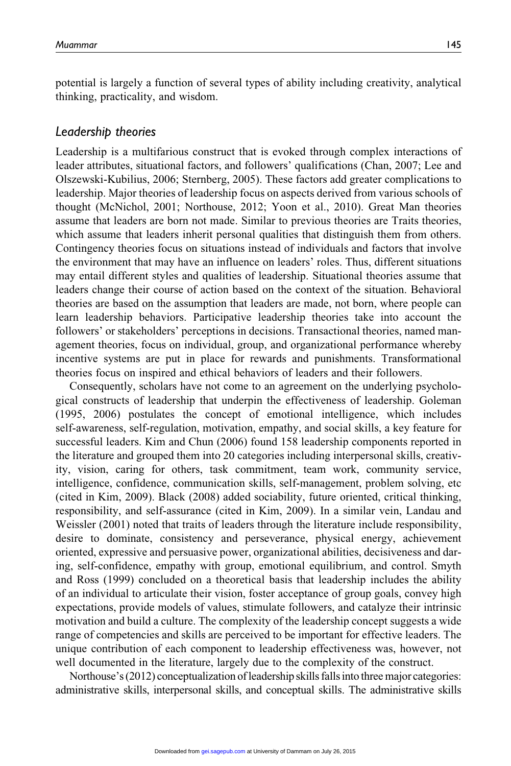potential is largely a function of several types of ability including creativity, analytical thinking, practicality, and wisdom.

### Leadership theories

Leadership is a multifarious construct that is evoked through complex interactions of leader attributes, situational factors, and followers' qualifications (Chan, 2007; Lee and Olszewski-Kubilius, 2006; Sternberg, 2005). These factors add greater complications to leadership. Major theories of leadership focus on aspects derived from various schools of thought (McNichol, 2001; Northouse, 2012; Yoon et al., 2010). Great Man theories assume that leaders are born not made. Similar to previous theories are Traits theories, which assume that leaders inherit personal qualities that distinguish them from others. Contingency theories focus on situations instead of individuals and factors that involve the environment that may have an influence on leaders' roles. Thus, different situations may entail different styles and qualities of leadership. Situational theories assume that leaders change their course of action based on the context of the situation. Behavioral theories are based on the assumption that leaders are made, not born, where people can learn leadership behaviors. Participative leadership theories take into account the followers' or stakeholders' perceptions in decisions. Transactional theories, named management theories, focus on individual, group, and organizational performance whereby incentive systems are put in place for rewards and punishments. Transformational theories focus on inspired and ethical behaviors of leaders and their followers.

Consequently, scholars have not come to an agreement on the underlying psychological constructs of leadership that underpin the effectiveness of leadership. Goleman (1995, 2006) postulates the concept of emotional intelligence, which includes self-awareness, self-regulation, motivation, empathy, and social skills, a key feature for successful leaders. Kim and Chun (2006) found 158 leadership components reported in the literature and grouped them into 20 categories including interpersonal skills, creativity, vision, caring for others, task commitment, team work, community service, intelligence, confidence, communication skills, self-management, problem solving, etc (cited in Kim, 2009). Black (2008) added sociability, future oriented, critical thinking, responsibility, and self-assurance (cited in Kim, 2009). In a similar vein, Landau and Weissler (2001) noted that traits of leaders through the literature include responsibility, desire to dominate, consistency and perseverance, physical energy, achievement oriented, expressive and persuasive power, organizational abilities, decisiveness and daring, self-confidence, empathy with group, emotional equilibrium, and control. Smyth and Ross (1999) concluded on a theoretical basis that leadership includes the ability of an individual to articulate their vision, foster acceptance of group goals, convey high expectations, provide models of values, stimulate followers, and catalyze their intrinsic motivation and build a culture. The complexity of the leadership concept suggests a wide range of competencies and skills are perceived to be important for effective leaders. The unique contribution of each component to leadership effectiveness was, however, not well documented in the literature, largely due to the complexity of the construct.

Northouse's (2012) conceptualization of leadership skills falls into three major categories: administrative skills, interpersonal skills, and conceptual skills. The administrative skills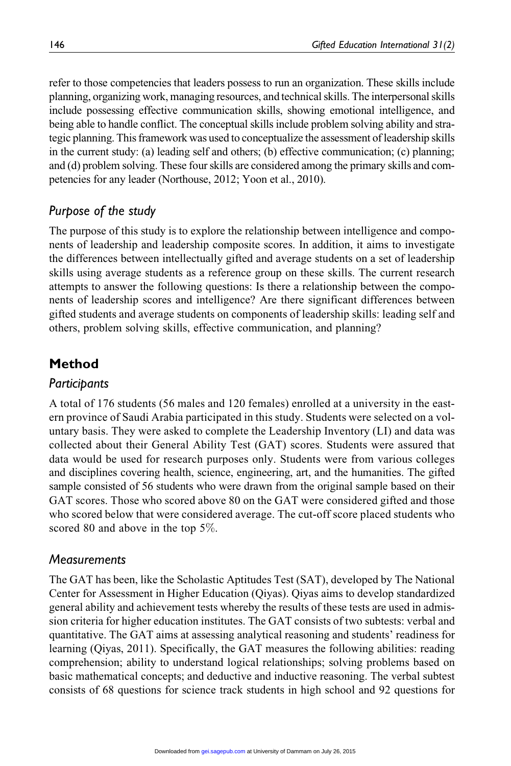refer to those competencies that leaders possess to run an organization. These skills include planning, organizing work, managing resources, and technical skills. The interpersonal skills include possessing effective communication skills, showing emotional intelligence, and being able to handle conflict. The conceptual skills include problem solving ability and strategic planning. This framework was used to conceptualize the assessment of leadership skills in the current study: (a) leading self and others; (b) effective communication; (c) planning; and (d) problem solving. These four skills are considered among the primary skills and competencies for any leader (Northouse, 2012; Yoon et al., 2010).

# Purpose of the study

The purpose of this study is to explore the relationship between intelligence and components of leadership and leadership composite scores. In addition, it aims to investigate the differences between intellectually gifted and average students on a set of leadership skills using average students as a reference group on these skills. The current research attempts to answer the following questions: Is there a relationship between the components of leadership scores and intelligence? Are there significant differences between gifted students and average students on components of leadership skills: leading self and others, problem solving skills, effective communication, and planning?

# Method

## **Participants**

A total of 176 students (56 males and 120 females) enrolled at a university in the eastern province of Saudi Arabia participated in this study. Students were selected on a voluntary basis. They were asked to complete the Leadership Inventory (LI) and data was collected about their General Ability Test (GAT) scores. Students were assured that data would be used for research purposes only. Students were from various colleges and disciplines covering health, science, engineering, art, and the humanities. The gifted sample consisted of 56 students who were drawn from the original sample based on their GAT scores. Those who scored above 80 on the GAT were considered gifted and those who scored below that were considered average. The cut-off score placed students who scored 80 and above in the top 5%.

## **Measurements**

The GAT has been, like the Scholastic Aptitudes Test (SAT), developed by The National Center for Assessment in Higher Education (Qiyas). Qiyas aims to develop standardized general ability and achievement tests whereby the results of these tests are used in admission criteria for higher education institutes. The GAT consists of two subtests: verbal and quantitative. The GAT aims at assessing analytical reasoning and students' readiness for learning (Qiyas, 2011). Specifically, the GAT measures the following abilities: reading comprehension; ability to understand logical relationships; solving problems based on basic mathematical concepts; and deductive and inductive reasoning. The verbal subtest consists of 68 questions for science track students in high school and 92 questions for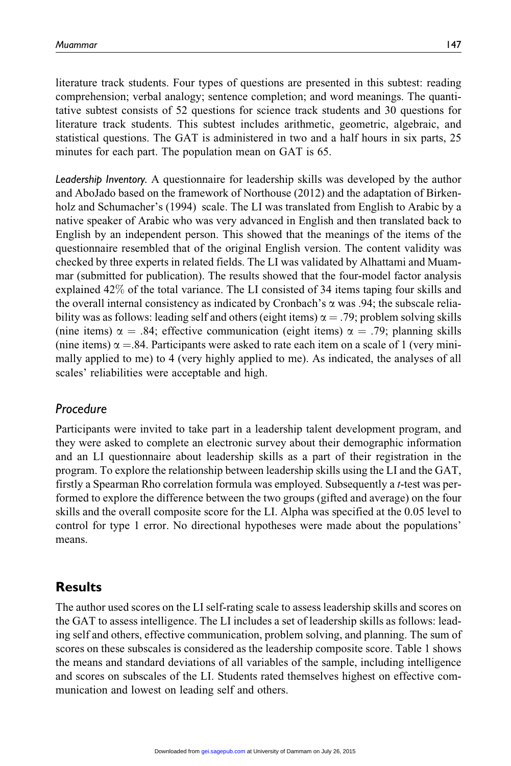literature track students. Four types of questions are presented in this subtest: reading comprehension; verbal analogy; sentence completion; and word meanings. The quantitative subtest consists of 52 questions for science track students and 30 questions for literature track students. This subtest includes arithmetic, geometric, algebraic, and statistical questions. The GAT is administered in two and a half hours in six parts, 25 minutes for each part. The population mean on GAT is 65.

Leadership Inventory. A questionnaire for leadership skills was developed by the author and AboJado based on the framework of Northouse (2012) and the adaptation of Birkenholz and Schumacher's (1994) scale. The LI was translated from English to Arabic by a native speaker of Arabic who was very advanced in English and then translated back to English by an independent person. This showed that the meanings of the items of the questionnaire resembled that of the original English version. The content validity was checked by three experts in related fields. The LI was validated by Alhattami and Muammar (submitted for publication). The results showed that the four-model factor analysis explained 42% of the total variance. The LI consisted of 34 items taping four skills and the overall internal consistency as indicated by Cronbach's  $\alpha$  was .94; the subscale reliability was as follows: leading self and others (eight items)  $\alpha = .79$ ; problem solving skills (nine items)  $\alpha = .84$ ; effective communication (eight items)  $\alpha = .79$ ; planning skills (nine items)  $\alpha = 84$ . Participants were asked to rate each item on a scale of 1 (very minimally applied to me) to 4 (very highly applied to me). As indicated, the analyses of all scales' reliabilities were acceptable and high.

## Procedure

Participants were invited to take part in a leadership talent development program, and they were asked to complete an electronic survey about their demographic information and an LI questionnaire about leadership skills as a part of their registration in the program. To explore the relationship between leadership skills using the LI and the GAT, firstly a Spearman Rho correlation formula was employed. Subsequently a t-test was performed to explore the difference between the two groups (gifted and average) on the four skills and the overall composite score for the LI. Alpha was specified at the 0.05 level to control for type 1 error. No directional hypotheses were made about the populations' means.

# Results

The author used scores on the LI self-rating scale to assess leadership skills and scores on the GAT to assess intelligence. The LI includes a set of leadership skills as follows: leading self and others, effective communication, problem solving, and planning. The sum of scores on these subscales is considered as the leadership composite score. Table 1 shows the means and standard deviations of all variables of the sample, including intelligence and scores on subscales of the LI. Students rated themselves highest on effective communication and lowest on leading self and others.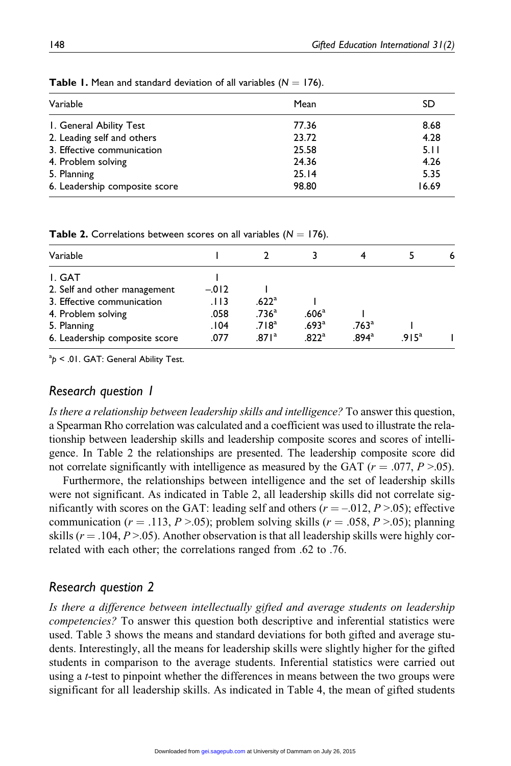| Variable                                              | Mean           | SD           |  |
|-------------------------------------------------------|----------------|--------------|--|
|                                                       |                |              |  |
| I. General Ability Test<br>2. Leading self and others | 77.36<br>23.72 | 8.68<br>4.28 |  |
| 3. Effective communication                            | 25.58          | 5.11         |  |
| 4. Problem solving                                    | 24.36          | 4.26         |  |
| 5. Planning                                           | 25.14          | 5.35         |  |
| 6. Leadership composite score                         | 98.80          | 16.69        |  |

**Table 1.** Mean and standard deviation of all variables  $(N = 176)$ .

**Table 2.** Correlations between scores on all variables ( $N = 176$ ).

| Variable                      |        |                   |                   |                   |                   | 6 |
|-------------------------------|--------|-------------------|-------------------|-------------------|-------------------|---|
| I. GAT                        |        |                   |                   |                   |                   |   |
| 2. Self and other management  | $-012$ |                   |                   |                   |                   |   |
| 3. Effective communication    | .113   | .622 <sup>a</sup> |                   |                   |                   |   |
| 4. Problem solving            | .058   | .736 <sup>a</sup> | .606 <sup>a</sup> |                   |                   |   |
| 5. Planning                   | .104   | .718 <sup>a</sup> | .693 <sup>a</sup> | $.763^{\circ}$    |                   |   |
| 6. Leadership composite score | .077   | .871 <sup>a</sup> | .822 <sup>a</sup> | .894 <sup>a</sup> | .915 <sup>a</sup> |   |

 $a_p$  < .01. GAT: General Ability Test.

### Research question 1

Is there a relationship between leadership skills and intelligence? To answer this question, a Spearman Rho correlation was calculated and a coefficient was used to illustrate the relationship between leadership skills and leadership composite scores and scores of intelligence. In Table 2 the relationships are presented. The leadership composite score did not correlate significantly with intelligence as measured by the GAT ( $r = .077$ ,  $P > .05$ ).

Furthermore, the relationships between intelligence and the set of leadership skills were not significant. As indicated in Table 2, all leadership skills did not correlate significantly with scores on the GAT: leading self and others ( $r = -0.012$ ,  $P > 0.05$ ); effective communication ( $r = .113$ ,  $P > .05$ ); problem solving skills ( $r = .058$ ,  $P > .05$ ); planning skills ( $r = .104$ ,  $P > .05$ ). Another observation is that all leadership skills were highly correlated with each other; the correlations ranged from .62 to .76.

### Research question 2

Is there a difference between intellectually gifted and average students on leadership competencies? To answer this question both descriptive and inferential statistics were used. Table 3 shows the means and standard deviations for both gifted and average students. Interestingly, all the means for leadership skills were slightly higher for the gifted students in comparison to the average students. Inferential statistics were carried out using a *t*-test to pinpoint whether the differences in means between the two groups were significant for all leadership skills. As indicated in Table 4, the mean of gifted students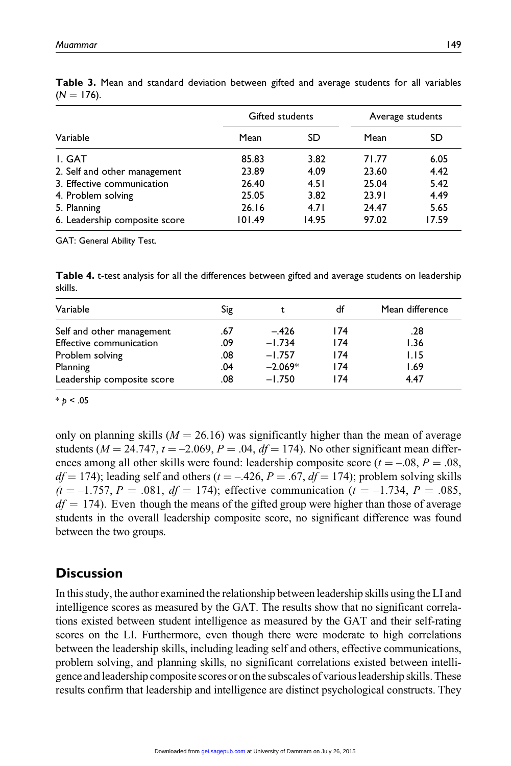|                               | Gifted students |       | Average students |       |
|-------------------------------|-----------------|-------|------------------|-------|
| Variable                      | Mean            | SD    | Mean             | SD    |
| I. GAT                        | 85.83           | 3.82  | 71.77            | 6.05  |
| 2. Self and other management  | 23.89           | 4.09  | 23.60            | 4.42  |
| 3. Effective communication    | 26.40           | 4.51  | 25.04            | 5.42  |
| 4. Problem solving            | 25.05           | 3.82  | 23.91            | 4.49  |
| 5. Planning                   | 26.16           | 4.71  | 24.47            | 5.65  |
| 6. Leadership composite score | 101.49          | 14.95 | 97.02            | 17.59 |

Table 3. Mean and standard deviation between gifted and average students for all variables  $(N = 176)$ .

GAT: General Ability Test.

Table 4. t-test analysis for all the differences between gifted and average students on leadership skills.

| Variable                   | Sig |           | df  | Mean difference |
|----------------------------|-----|-----------|-----|-----------------|
| Self and other management  | .67 | $-.426$   | 174 | .28             |
| Effective communication    | .09 | $-1.734$  | 174 | 1.36            |
| Problem solving            | .08 | $-1.757$  | 174 | 1.15            |
| Planning                   | .04 | $-2.069*$ | 174 | 1.69            |
| Leadership composite score | .08 | $-1.750$  | 174 | 4.47            |

 $* p < .05$ 

only on planning skills ( $M = 26.16$ ) was significantly higher than the mean of average students ( $M = 24.747$ ,  $t = -2.069$ ,  $P = .04$ ,  $df = 174$ ). No other significant mean differences among all other skills were found: leadership composite score ( $t = -0.08$ ,  $P = .08$ ,  $df = 174$ ); leading self and others ( $t = -.426$ ,  $P = .67$ ,  $df = 174$ ); problem solving skills  $(t = -1.757, P = .081, df = 174)$ ; effective communication  $(t = -1.734, P = .085,$  $df = 174$ ). Even though the means of the gifted group were higher than those of average students in the overall leadership composite score, no significant difference was found between the two groups.

# **Discussion**

In this study, the author examined the relationship between leadership skills using the LI and intelligence scores as measured by the GAT. The results show that no significant correlations existed between student intelligence as measured by the GAT and their self-rating scores on the LI. Furthermore, even though there were moderate to high correlations between the leadership skills, including leading self and others, effective communications, problem solving, and planning skills, no significant correlations existed between intelligence and leadership composite scores or onthe subscales of various leadership skills. These results confirm that leadership and intelligence are distinct psychological constructs. They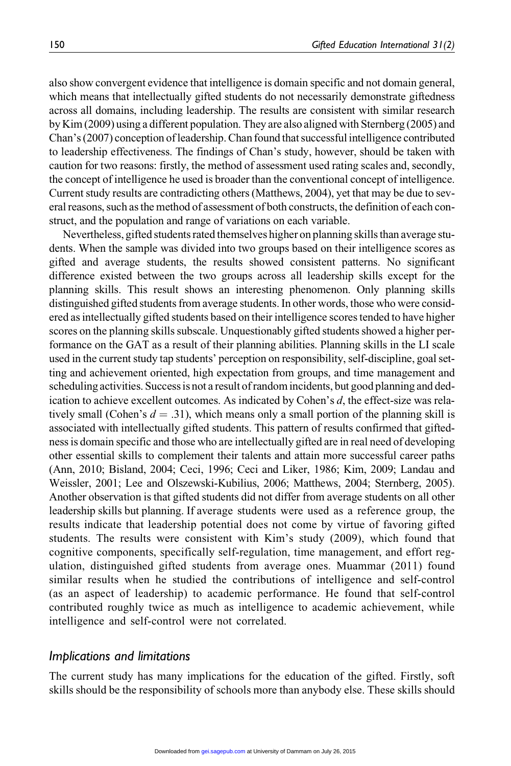also show convergent evidence that intelligence is domain specific and not domain general, which means that intellectually gifted students do not necessarily demonstrate giftedness across all domains, including leadership. The results are consistent with similar research by Kim (2009) using a different population. They are also aligned with Sternberg (2005) and Chan's (2007) conception ofleadership. Chan found that successful intelligence contributed to leadership effectiveness. The findings of Chan's study, however, should be taken with caution for two reasons: firstly, the method of assessment used rating scales and, secondly, the concept of intelligence he used is broader than the conventional concept of intelligence. Current study results are contradicting others (Matthews, 2004), yet that may be due to several reasons, such as the method of assessment of both constructs, the definition of each construct, and the population and range of variations on each variable.

Nevertheless, gifted students rated themselves higher on planning skills than average students. When the sample was divided into two groups based on their intelligence scores as gifted and average students, the results showed consistent patterns. No significant difference existed between the two groups across all leadership skills except for the planning skills. This result shows an interesting phenomenon. Only planning skills distinguished gifted students from average students. In other words, those who were considered as intellectually gifted students based on their intelligence scores tended to have higher scores on the planning skills subscale. Unquestionably gifted students showed a higher performance on the GAT as a result of their planning abilities. Planning skills in the LI scale used in the current study tap students' perception on responsibility, self-discipline, goal setting and achievement oriented, high expectation from groups, and time management and scheduling activities. Successis not a result of random incidents, but good planning and dedication to achieve excellent outcomes. As indicated by Cohen's d, the effect-size was relatively small (Cohen's  $d = .31$ ), which means only a small portion of the planning skill is associated with intellectually gifted students. This pattern of results confirmed that giftedness is domain specific and those who are intellectually gifted are in real need of developing other essential skills to complement their talents and attain more successful career paths (Ann, 2010; Bisland, 2004; Ceci, 1996; Ceci and Liker, 1986; Kim, 2009; Landau and Weissler, 2001; Lee and Olszewski-Kubilius, 2006; Matthews, 2004; Sternberg, 2005). Another observation is that gifted students did not differ from average students on all other leadership skills but planning. If average students were used as a reference group, the results indicate that leadership potential does not come by virtue of favoring gifted students. The results were consistent with Kim's study (2009), which found that cognitive components, specifically self-regulation, time management, and effort regulation, distinguished gifted students from average ones. Muammar (2011) found similar results when he studied the contributions of intelligence and self-control (as an aspect of leadership) to academic performance. He found that self-control contributed roughly twice as much as intelligence to academic achievement, while intelligence and self-control were not correlated.

#### Implications and limitations

The current study has many implications for the education of the gifted. Firstly, soft skills should be the responsibility of schools more than anybody else. These skills should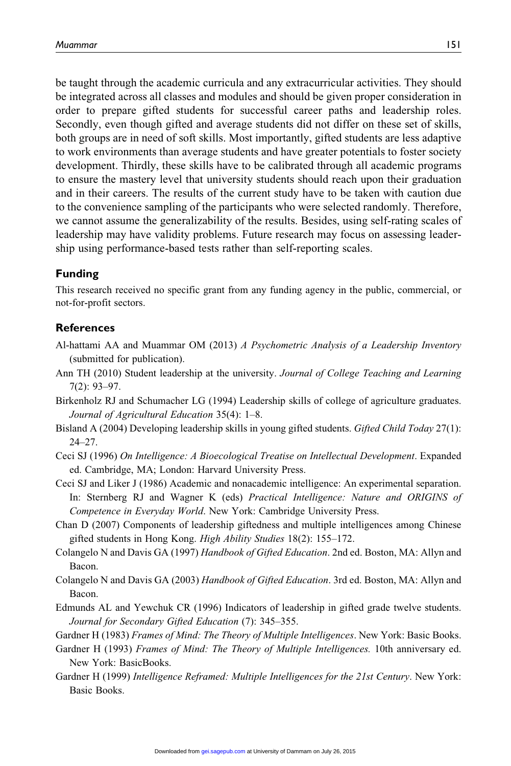be taught through the academic curricula and any extracurricular activities. They should be integrated across all classes and modules and should be given proper consideration in order to prepare gifted students for successful career paths and leadership roles. Secondly, even though gifted and average students did not differ on these set of skills, both groups are in need of soft skills. Most importantly, gifted students are less adaptive to work environments than average students and have greater potentials to foster society development. Thirdly, these skills have to be calibrated through all academic programs to ensure the mastery level that university students should reach upon their graduation and in their careers. The results of the current study have to be taken with caution due to the convenience sampling of the participants who were selected randomly. Therefore, we cannot assume the generalizability of the results. Besides, using self-rating scales of leadership may have validity problems. Future research may focus on assessing leadership using performance-based tests rather than self-reporting scales.

#### Funding

This research received no specific grant from any funding agency in the public, commercial, or not-for-profit sectors.

#### **References**

- Al-hattami AA and Muammar OM (2013) A Psychometric Analysis of a Leadership Inventory (submitted for publication).
- Ann TH (2010) Student leadership at the university. Journal of College Teaching and Learning 7(2): 93–97.
- Birkenholz RJ and Schumacher LG (1994) Leadership skills of college of agriculture graduates. Journal of Agricultural Education 35(4): 1–8.
- Bisland A (2004) Developing leadership skills in young gifted students. Gifted Child Today 27(1): 24–27.
- Ceci SJ (1996) On Intelligence: A Bioecological Treatise on Intellectual Development. Expanded ed. Cambridge, MA; London: Harvard University Press.
- Ceci SJ and Liker J (1986) Academic and nonacademic intelligence: An experimental separation. In: Sternberg RJ and Wagner K (eds) Practical Intelligence: Nature and ORIGINS of Competence in Everyday World. New York: Cambridge University Press.
- Chan D (2007) Components of leadership giftedness and multiple intelligences among Chinese gifted students in Hong Kong. High Ability Studies 18(2): 155–172.
- Colangelo N and Davis GA (1997) Handbook of Gifted Education. 2nd ed. Boston, MA: Allyn and Bacon.
- Colangelo N and Davis GA (2003) Handbook of Gifted Education. 3rd ed. Boston, MA: Allyn and Bacon.
- Edmunds AL and Yewchuk CR (1996) Indicators of leadership in gifted grade twelve students. Journal for Secondary Gifted Education (7): 345–355.
- Gardner H (1983) *Frames of Mind: The Theory of Multiple Intelligences*. New York: Basic Books.
- Gardner H (1993) Frames of Mind: The Theory of Multiple Intelligences. 10th anniversary ed. New York: BasicBooks.
- Gardner H (1999) Intelligence Reframed: Multiple Intelligences for the 21st Century. New York: Basic Books.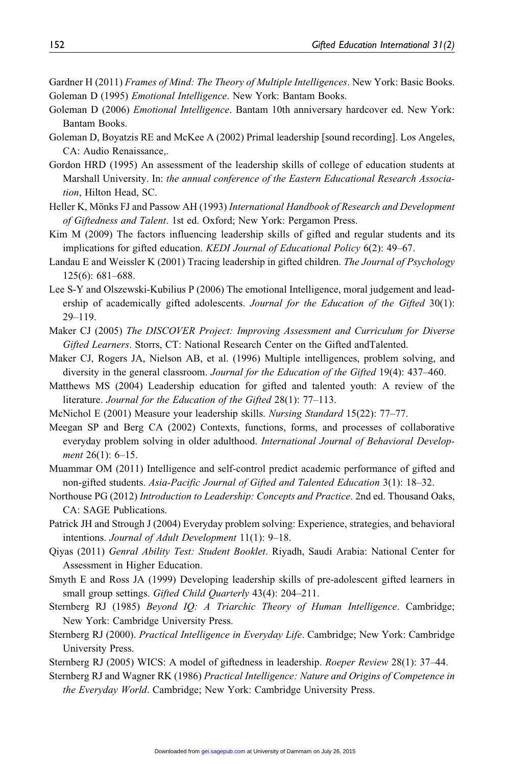- Gardner H (2011) Frames of Mind: The Theory of Multiple Intelligences. New York: Basic Books. Goleman D (1995) Emotional Intelligence. New York: Bantam Books.
- Goleman D (2006) *Emotional Intelligence*. Bantam 10th anniversary hardcover ed. New York: Bantam Books.
- Goleman D, Boyatzis RE and McKee A (2002) Primal leadership [sound recording]. Los Angeles, CA: Audio Renaissance,.
- Gordon HRD (1995) An assessment of the leadership skills of college of education students at Marshall University. In: the annual conference of the Eastern Educational Research Association, Hilton Head, SC.
- Heller K, Mönks FJ and Passow AH (1993) International Handbook of Research and Development of Giftedness and Talent. 1st ed. Oxford; New York: Pergamon Press.
- Kim M (2009) The factors influencing leadership skills of gifted and regular students and its implications for gifted education. KEDI Journal of Educational Policy 6(2): 49-67.
- Landau E and Weissler K (2001) Tracing leadership in gifted children. The Journal of Psychology 125(6): 681–688.
- Lee S-Y and Olszewski-Kubilius P (2006) The emotional Intelligence, moral judgement and leadership of academically gifted adolescents. Journal for the Education of the Gifted 30(1): 29–119.
- Maker CJ (2005) The DISCOVER Project: Improving Assessment and Curriculum for Diverse Gifted Learners. Storrs, CT: National Research Center on the Gifted andTalented.
- Maker CJ, Rogers JA, Nielson AB, et al. (1996) Multiple intelligences, problem solving, and diversity in the general classroom. *Journal for the Education of the Gifted* 19(4): 437–460.
- Matthews MS (2004) Leadership education for gifted and talented youth: A review of the literature. Journal for the Education of the Gifted 28(1): 77-113.
- McNichol E (2001) Measure your leadership skills. Nursing Standard 15(22): 77–77.
- Meegan SP and Berg CA (2002) Contexts, functions, forms, and processes of collaborative everyday problem solving in older adulthood. International Journal of Behavioral Development 26(1): 6-15.
- Muammar OM (2011) Intelligence and self-control predict academic performance of gifted and non-gifted students. Asia-Pacific Journal of Gifted and Talented Education 3(1): 18–32.
- Northouse PG (2012) Introduction to Leadership: Concepts and Practice. 2nd ed. Thousand Oaks, CA: SAGE Publications.
- Patrick JH and Strough J (2004) Everyday problem solving: Experience, strategies, and behavioral intentions. Journal of Adult Development 11(1): 9–18.
- Qiyas (2011) Genral Ability Test: Student Booklet. Riyadh, Saudi Arabia: National Center for Assessment in Higher Education.
- Smyth E and Ross JA (1999) Developing leadership skills of pre-adolescent gifted learners in small group settings. Gifted Child Quarterly 43(4): 204-211.
- Sternberg RJ (1985) Beyond IQ: A Triarchic Theory of Human Intelligence. Cambridge; New York: Cambridge University Press.
- Sternberg RJ (2000). Practical Intelligence in Everyday Life. Cambridge; New York: Cambridge University Press.
- Sternberg RJ (2005) WICS: A model of giftedness in leadership. Roeper Review 28(1): 37–44.
- Sternberg RJ and Wagner RK (1986) Practical Intelligence: Nature and Origins of Competence in the Everyday World. Cambridge; New York: Cambridge University Press.